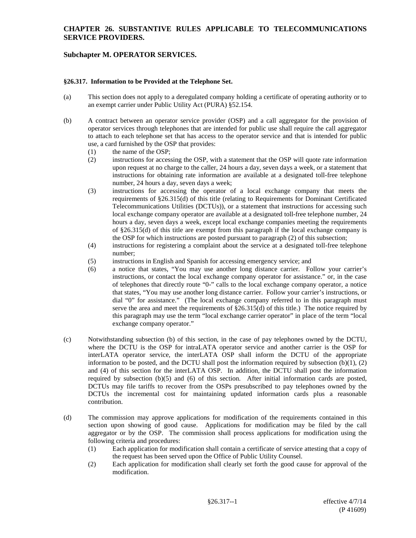# **CHAPTER 26. SUBSTANTIVE RULES APPLICABLE TO TELECOMMUNICATIONS SERVICE PROVIDERS.**

# **Subchapter M. OPERATOR SERVICES.**

#### **§26.317. Information to be Provided at the Telephone Set.**

- (a) This section does not apply to a deregulated company holding a certificate of operating authority or to an exempt carrier under Public Utility Act (PURA) §52.154.
- (b) A contract between an operator service provider (OSP) and a call aggregator for the provision of operator services through telephones that are intended for public use shall require the call aggregator to attach to each telephone set that has access to the operator service and that is intended for public use, a card furnished by the OSP that provides:
	- (1) the name of the OSP;
	- (2) instructions for accessing the OSP, with a statement that the OSP will quote rate information upon request at no charge to the caller, 24 hours a day, seven days a week, or a statement that instructions for obtaining rate information are available at a designated toll-free telephone number, 24 hours a day, seven days a week;
	- (3) instructions for accessing the operator of a local exchange company that meets the requirements of §26.315(d) of this title (relating to Requirements for Dominant Certificated Telecommunications Utilities (DCTUs)), or a statement that instructions for accessing such local exchange company operator are available at a designated toll-free telephone number, 24 hours a day, seven days a week, except local exchange companies meeting the requirements of §26.315(d) of this title are exempt from this paragraph if the local exchange company is the OSP for which instructions are posted pursuant to paragraph (2) of this subsection;
	- (4) instructions for registering a complaint about the service at a designated toll-free telephone number;
	- (5) instructions in English and Spanish for accessing emergency service; and
	- (6) a notice that states, "You may use another long distance carrier. Follow your carrier's instructions, or contact the local exchange company operator for assistance." or, in the case of telephones that directly route "0-" calls to the local exchange company operator, a notice that states, "You may use another long distance carrier. Follow your carrier's instructions, or dial "0" for assistance." (The local exchange company referred to in this paragraph must serve the area and meet the requirements of  $\S26.315(d)$  of this title.) The notice required by this paragraph may use the term "local exchange carrier operator" in place of the term "local exchange company operator."
- (c) Notwithstanding subsection (b) of this section, in the case of pay telephones owned by the DCTU, where the DCTU is the OSP for intraLATA operator service and another carrier is the OSP for interLATA operator service, the interLATA OSP shall inform the DCTU of the appropriate information to be posted, and the DCTU shall post the information required by subsection  $(b)(1)$ ,  $(2)$ and (4) of this section for the interLATA OSP. In addition, the DCTU shall post the information required by subsection (b)(5) and (6) of this section. After initial information cards are posted, DCTUs may file tariffs to recover from the OSPs presubscribed to pay telephones owned by the DCTUs the incremental cost for maintaining updated information cards plus a reasonable contribution.
- (d) The commission may approve applications for modification of the requirements contained in this section upon showing of good cause. Applications for modification may be filed by the call aggregator or by the OSP. The commission shall process applications for modification using the following criteria and procedures:
	- (1) Each application for modification shall contain a certificate of service attesting that a copy of the request has been served upon the Office of Public Utility Counsel.
	- (2) Each application for modification shall clearly set forth the good cause for approval of the modification.